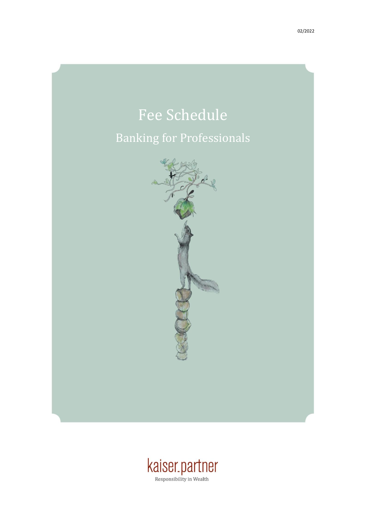# Fee Schedule

### Banking for Professionals



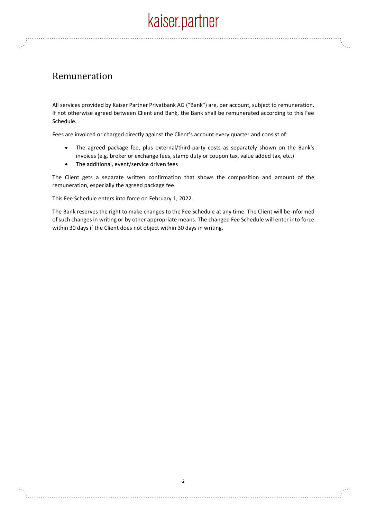### Remuneration

All services provided by Kaiser Partner Privatbank AG ("Bank") are, per account, subject to remuneration. If not otherwise agreed between Client and Bank, the Bank shall be remunerated according to this Fee Schedule.

Fees are invoiced or charged directly against the Client's account every quarter and consist of:

- The agreed package fee, plus external/third-party costs as separately shown on the Bank's invoices (e.g. broker or exchange fees, stamp duty or coupon tax, value added tax, etc.)
- The additional, event/service driven fees

The Client gets a separate written confirmation that shows the composition and amount of the remuneration, especially the agreed package fee.

This Fee Schedule enters into force on February 1, 2022.

The Bank reserves the right to make changes to the Fee Schedule at any time. The Client will be informed of such changes in writing or by other appropriate means. The changed Fee Schedule will enter into force within 30 days if the Client does not object within 30 days in writing.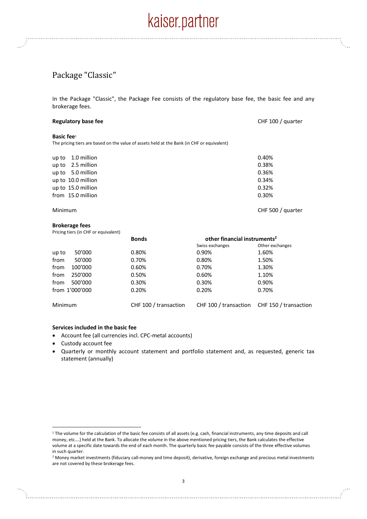### Package "Classic"

In the Package "Classic", the Package Fee consists of the regulatory base fee, the basic fee and any brokerage fees.

| <b>Regulatory base fee</b> |  |
|----------------------------|--|
|                            |  |

CHF 100 / quarter

#### **Basic fee**<sup>1</sup>

The pricing tiers are based on the value of assets held at the Bank (in CHF or equivalent)

| up to $1.0$ million | 0.40% |
|---------------------|-------|
| up to 2.5 million   | 0.38% |
| up to 5.0 million   | 0.36% |
| up to 10.0 million  | 0.34% |
| up to 15.0 million  | 0.32% |
| from 15.0 million   | 0.30% |
|                     |       |

Minimum CHF 500 / quarter

#### **Brokerage fees**

Pricing tiers (in CHF or equivalent)

|         |                | <b>Bonds</b>          | other financial instruments <sup>2</sup> |                                             |
|---------|----------------|-----------------------|------------------------------------------|---------------------------------------------|
|         |                |                       | Swiss exchanges                          | Other exchanges                             |
| up to   | 50'000         | 0.80%                 | 0.90%                                    | 1.60%                                       |
| from    | 50'000         | 0.70%                 | 0.80%                                    | 1.50%                                       |
| from    | 100'000        | 0.60%                 | 0.70%                                    | 1.30%                                       |
| from    | 250'000        | 0.50%                 | 0.60%                                    | 1.10%                                       |
| from    | 500'000        | 0.30%                 | 0.30%                                    | 0.90%                                       |
|         | from 1'000'000 | 0.20%                 | 0.20%                                    | 0.70%                                       |
| Minimum |                | CHF 100 / transaction |                                          | CHF 100 / transaction CHF 150 / transaction |

#### **Services included in the basic fee**

- Account fee (all currencies incl. CPC-metal accounts)
- Custody account fee
- Quarterly or monthly account statement and portfolio statement and, as requested, generic tax statement (annually)

<sup>&</sup>lt;sup>1</sup> The volume for the calculation of the basic fee consists of all assets (e.g. cash, financial instruments, any time deposits and call money, etc….) held at the Bank. To allocate the volume in the above mentioned pricing tiers, the Bank calculates the effective volume at a specific date towards the end of each month. The quarterly basic fee payable consists of the three effective volumes in such quarter.

<sup>&</sup>lt;sup>2</sup> Money market investments (fiduciary call-money and time deposit), derivative, foreign exchange and precious metal investments are not covered by these brokerage fees.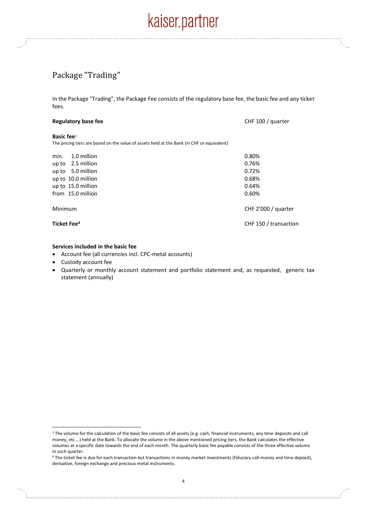### Package "Trading"

In the Package "Trading", the Package Fee consists of the regulatory base fee, the basic fee and any ticket fees.

| <b>Regulatory base fee</b>                                                                 | CHF 100 / quarter     |
|--------------------------------------------------------------------------------------------|-----------------------|
| Basic fee <sup>3</sup>                                                                     |                       |
| The pricing tiers are based on the value of assets held at the Bank (in CHF or equivalent) |                       |
| 1.0 million<br>min.                                                                        | 0.80%                 |
| up to $2.5$ million                                                                        | 0.76%                 |
| up to 5.0 million                                                                          | 0.72%                 |
| up to 10.0 million                                                                         | 0.68%                 |
| up to 15.0 million                                                                         | 0.64%                 |
| from 15.0 million                                                                          | 0.60%                 |
| Minimum                                                                                    | CHF 2'000 / quarter   |
| Ticket Fee <sup>4</sup>                                                                    | CHF 150 / transaction |

#### **Services included in the basic fee**

- Account fee (all currencies incl. CPC-metal accounts)
- Custody account fee
- Quarterly or monthly account statement and portfolio statement and, as requested, generic tax statement (annually)

<sup>&</sup>lt;sup>3</sup> The volume for the calculation of the basic fee consists of all assets (e.g. cash, financial instruments, any time deposits and call money, etc….) held at the Bank. To allocate the volume in the above mentioned pricing tiers, the Bank calculates the effective volumes at a specific date towards the end of each month. The quarterly basic fee payable consists of the three effective volume in such quarter.

<sup>4</sup> The ticket fee is due for each transaction but transactions in money market investments (fiduciary call-money and time deposit), derivative, foreign exchange and precious metal instruments.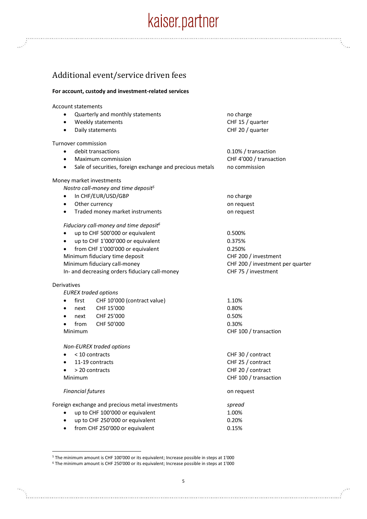### Additional event/service driven fees

#### **For account, custody and investment-related services**

Account statements

| ٠                   | Quarterly and monthly statements                         | no charge                        |
|---------------------|----------------------------------------------------------|----------------------------------|
|                     | Weekly statements                                        | CHF 15 / quarter                 |
|                     | Daily statements                                         | CHF 20 / quarter                 |
| Turnover commission |                                                          |                                  |
|                     | debit transactions                                       | 0.10% / transaction              |
| $\bullet$           | Maximum commission                                       | CHF 4'000 / transaction          |
| $\bullet$           | Sale of securities, foreign exchange and precious metals | no commission                    |
|                     | Money market investments                                 |                                  |
|                     | Nostro call-money and time deposit <sup>5</sup>          |                                  |
| $\bullet$           | In CHF/EUR/USD/GBP                                       | no charge                        |
| $\bullet$           | Other currency                                           | on request                       |
| ٠                   | Traded money market instruments                          | on request                       |
|                     | Fiduciary call-money and time deposit <sup>6</sup>       |                                  |
| $\bullet$           | up to CHF 500'000 or equivalent                          | 0.500%                           |
| $\bullet$           | up to CHF 1'000'000 or equivalent                        | 0.375%                           |
|                     | from CHF 1'000'000 or equivalent                         | 0.250%                           |
|                     | Minimum fiduciary time deposit                           | CHF 200 / investment             |
|                     | Minimum fiduciary call-money                             | CHF 200 / investment per quarter |
|                     | In- and decreasing orders fiduciary call-money           | CHF 75 / investment              |
| Derivatives         |                                                          |                                  |
|                     | <b>EUREX</b> traded options                              |                                  |
| first<br>$\bullet$  | CHF 10'000 (contract value)                              | 1.10%                            |
| next                | CHF 15'000                                               | 0.80%                            |
| next<br>$\bullet$   | CHF 25'000                                               | 0.50%                            |
| from<br>$\bullet$   | CHF 50'000                                               | 0.30%                            |
| Minimum             |                                                          | CHF 100 / transaction            |
|                     | Non-EUREX traded options                                 |                                  |
|                     | < 10 contracts                                           | CHF 30 / contract                |
| $\bullet$           | 11-19 contracts                                          | CHF 25 / contract                |
| > 20 contracts      |                                                          | CHF 20 / contract                |
| Minimum             |                                                          | CHF 100 / transaction            |
|                     | <b>Financial futures</b>                                 | on request                       |
|                     | Foreign exchange and precious metal investments          | spread                           |
|                     | up to CHF 100'000 or equivalent                          | 1.00%                            |
| $\bullet$           | up to CHF 250'000 or equivalent                          | 0.20%                            |
| $\bullet$           | from CHF 250'000 or equivalent                           | 0.15%                            |

<sup>5</sup> The minimum amount is CHF 100'000 or its equivalent; Increase possible in steps at 1'000

<sup>6</sup> The minimum amount is CHF 250'000 or its equivalent; Increase possible in steps at 1'000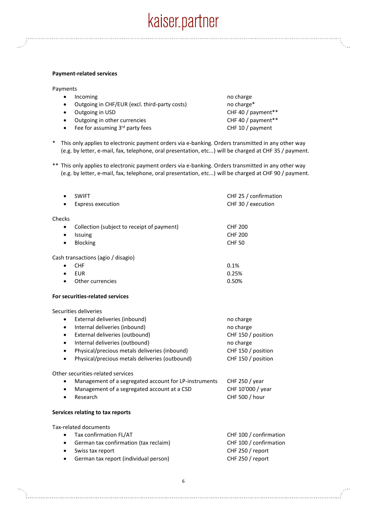#### **Payment-related services**

Payments

- Incoming no charge no charge no charge no charge
- Outgoing in CHF/EUR (excl. third-party costs) no charge\*
- 
- Outgoing in other currencies CHF 40 / payment\*\*
- Fee for assuming 3<sup>rd</sup> party fees CHF 10 / payment

• Outgoing in USD CHF 40 / payment\*\*

- \* This only applies to electronic payment orders via e-banking. Orders transmitted in any other way (e.g. by letter, e-mail, fax, telephone, oral presentation, etc...) will be charged at CHF 35 / payment.
- \*\* This only applies to electronic payment orders via e-banking. Orders transmitted in any other way (e.g. by letter, e-mail, fax, telephone, oral presentation, etc...) will be charged at CHF 90 / payment.

| $\bullet$ | <b>SWIFT</b>                                          | CHF 25 / confirmation  |
|-----------|-------------------------------------------------------|------------------------|
|           | <b>Express execution</b>                              | CHF 30 / execution     |
| Checks    |                                                       |                        |
| $\bullet$ | Collection (subject to receipt of payment)            | <b>CHF 200</b>         |
| $\bullet$ | Issuing                                               | <b>CHF 200</b>         |
| $\bullet$ | Blocking                                              | <b>CHF 50</b>          |
|           | Cash transactions (agio / disagio)                    |                        |
|           | <b>CHF</b>                                            | 0.1%                   |
|           | <b>EUR</b>                                            | 0.25%                  |
|           | Other currencies                                      | 0.50%                  |
|           | For securities-related services                       |                        |
|           | Securities deliveries                                 |                        |
| ٠         | External deliveries (inbound)                         | no charge              |
| $\bullet$ | Internal deliveries (inbound)                         | no charge              |
| $\bullet$ | External deliveries (outbound)                        | CHF 150 / position     |
| ٠         | Internal deliveries (outbound)                        | no charge              |
| $\bullet$ | Physical/precious metals deliveries (inbound)         | CHF 150 / position     |
| $\bullet$ | Physical/precious metals deliveries (outbound)        | CHF 150 / position     |
|           | Other securities-related services                     |                        |
| ٠         | Management of a segregated account for LP-instruments | CHF 250 / year         |
| $\bullet$ | Management of a segregated account at a CSD           | CHF 10'000 / year      |
| $\bullet$ | Research                                              | CHF 500 / hour         |
|           | Services relating to tax reports                      |                        |
|           | <b>Tax-related documents</b>                          |                        |
| $\bullet$ | Tax confirmation FL/AT                                | CHF 100 / confirmation |
| $\bullet$ | German tax confirmation (tax reclaim)                 | CHF 100 / confirmation |
| ٠         | Swiss tax report                                      | CHF 250 / report       |

German tax report (individual person) CHF 250 / report